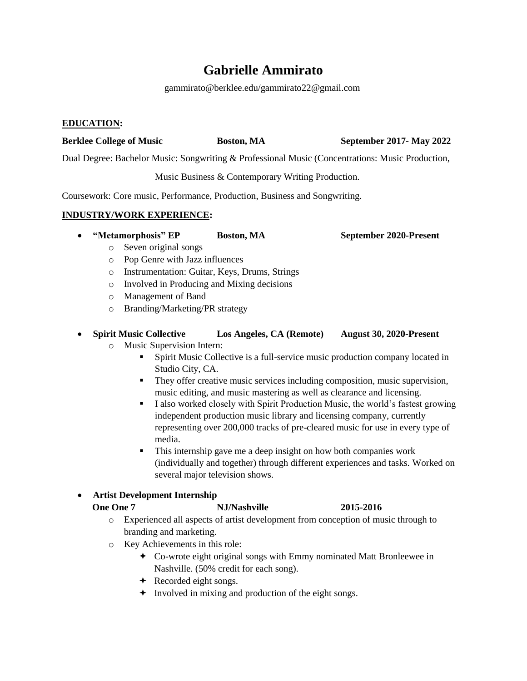# **Gabrielle Ammirato**

gammirato@berklee.edu/gammirato22@gmail.com

### **EDUCATION:**

# **Berklee College of Music Boston, MA September 2017- May 2022**

Dual Degree: Bachelor Music: Songwriting & Professional Music (Concentrations: Music Production,

Music Business & Contemporary Writing Production.

Coursework: Core music, Performance, Production, Business and Songwriting.

### **INDUSTRY/WORK EXPERIENCE:**

**"Metamorphosis" EP Boston, MA September 2020-Present**

- o Seven original songs
- o Pop Genre with Jazz influences
- o Instrumentation: Guitar, Keys, Drums, Strings
- o Involved in Producing and Mixing decisions
- o Management of Band
- o Branding/Marketing/PR strategy

### **Spirit Music Collective Los Angeles, CA (Remote) August 30, 2020-Present**

- o Music Supervision Intern:
	- Spirit Music Collective is a full-service music production company located in Studio City, CA.
	- They offer creative music services including composition, music supervision, music editing, and music mastering as well as clearance and licensing.
	- I also worked closely with Spirit Production Music, the world's fastest growing independent production music library and licensing company, currently representing over 200,000 tracks of pre-cleared music for use in every type of media.
	- This internship gave me a deep insight on how both companies work (individually and together) through different experiences and tasks. Worked on several major television shows.

### **Artist Development Internship**

### **One One 7 NJ/Nashville** 2015-2016

- o Experienced all aspects of artist development from conception of music through to branding and marketing.
- o Key Achievements in this role:
	- Co-wrote eight original songs with Emmy nominated Matt Bronleewee in Nashville. (50% credit for each song).
	- **←** Recorded eight songs.
	- $\div$  Involved in mixing and production of the eight songs.